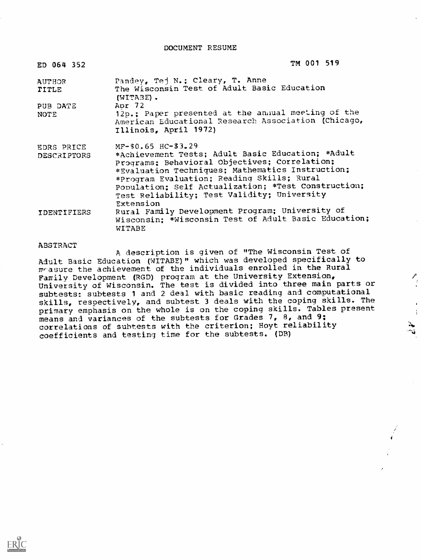DOCUMENT RESUME

| ED 064 352                       | TM 001 519                                                                                                                                                                                                                                                                                                                                        |
|----------------------------------|---------------------------------------------------------------------------------------------------------------------------------------------------------------------------------------------------------------------------------------------------------------------------------------------------------------------------------------------------|
| <b>AUTHOR</b><br>TITLE           | Pandey, Tej N.: Cleary, T. Anne<br>The Wisconsin Test of Adult Basic Education<br>(WITABE).                                                                                                                                                                                                                                                       |
| PUB DATE<br>NOTE                 | Apr 72<br>12p.; Paper presented at the annual meeting of the<br>American Educational Research Association (Chicago,<br>Illinois, April 1972)                                                                                                                                                                                                      |
| EDRS PRICE<br><b>DESCRIPTORS</b> | $MF-$0.65$ HC- $$3.29$<br>*Achievement Tests; Adult Basic Education; *Adult<br>Programs: Behavioral Objectives; Correlation;<br>*Evaluation Techniques; Mathematics Instruction;<br>*Program Evaluation; Reading Skills; Rural<br>Population: Self Actualization; *Test Construction;<br>Test Reliability; Test Validity; University<br>Extension |
| <b>IDENTIFIERS</b>               | Rural Family Development Program; University of<br>Wisconsin; *Wisconsin Test of Adult Basic Education;<br>WITABE                                                                                                                                                                                                                                 |

#### ABSTRACT

 $ERIC$ 

A description is given of "The Wisconsin Test of Adult Basic Education (WITABE)" which was developed specifically to  $m$ -asure the achievement of the individuals enrolled in the Rural Family Development (RGD) program at the University Extension, University of Wisconsin. The test is divided into three main parts or subtests: subtests 1 and 2 deal with basic reading and computational skills, respectively, and subtest 3 deals with the coping skills. The primary emphasis on the whole is on the coping skills. Tables present means and variances of the subtests for Grades 7, 8, and 9; correlations of subtests with the criterion; Hoyt reliability coefficients and testing time for the subtests. (DB)

4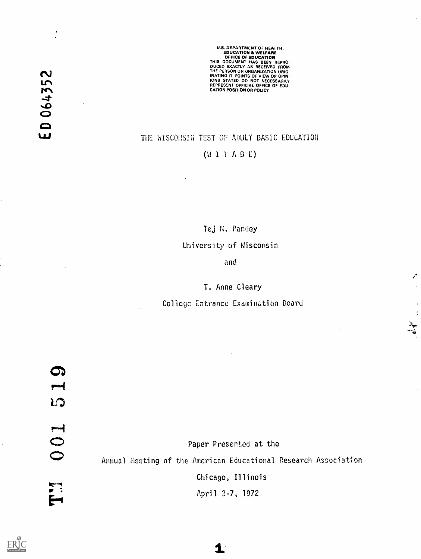U.S. DEPARTMENT OF HEALTH.<br>EDUCATION & WELFARE EDUCATION & WELFARE OFFICE OF EDUCATION THIS DOCUMENT HAS BEEN REPRO-DUCED EXACTLY AS RECEIVED FROM THE PERSON OR ORGANIZATION ORIG-INATING IT. POINTS OF VIEW OR OPIN-IONS STATED 00 NOT NECESSARILY REPRESENT OFFICIAL OFFICE OF EDU-CATION POSITION OR POLICY

### THE WISCONSIN TEST OF ADULT BASIC EDUCATION

### $(WI T A B E)$

Tej N. Pandey

### University of Wisconsin

and

## T. Anne Cleary

College Entrance Examination Board

ERIC

ED 064352

Paper Presented at the Annual Heeting of the American Educational Research Association Chicago, Illinois April 3-7, 1972

 $\blacktriangle$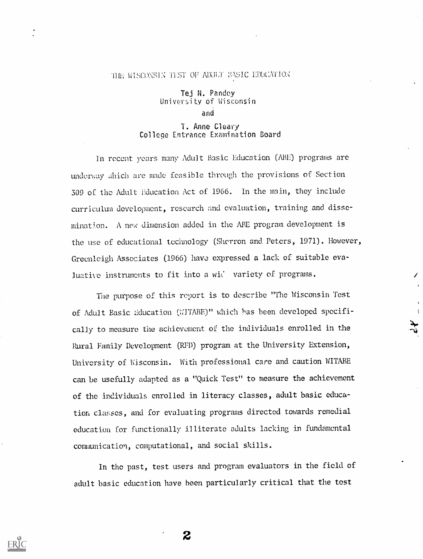#### THE WISCONSIN THST OF ADDLT BASIC EDUCATION

Tej N. Pandey University of Wisconsin and

T. Anne Cleary College Entrance Examination Board

In recent years many Adult Basic Education (ABE) programs are underway which are made feasible through the provisions of Section 309 of the Adult liducation Act of 1966. In the main, they include curriculum development, research and evaluation, training and dissemination. A new dimension added in the ABE program development is the use of educational technology (Sherron and Peters, 1971). However, Greenleigh Associates (1966) have expressed a lack of suitable evaluative instruments to fit into a wiC variety of programs.

The purpose of this report is to describe "The Wisconsin Test of Adult Basic Education (WITABE)" which has been developed specifically to measure the achievement of the individuals enrolled in the Rural Family Development (RFD) program at the University Extension, University of Wisconsin. With professional care and caution WITABE can be usefully adapted as a "Quick Test" to measure the achievement of the individuals enrolled in literacy classes, adult basic education classes, and for evaluating programs directed towards remedial education for functionally illiterate adults lacking in fundamental communication, computational, and social skills.

In the past, test users and program evaluators in the field of adult basic education have been particularly critical that the test

2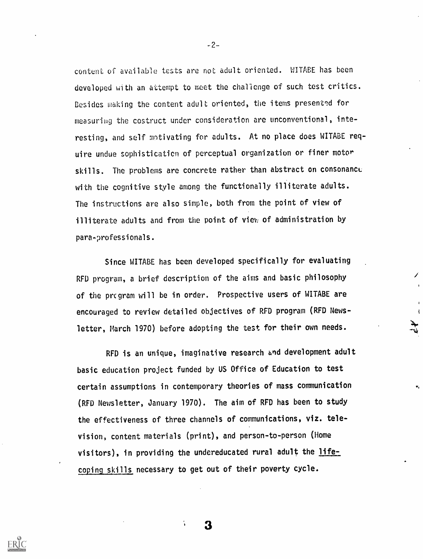content of available tests are not adult oriented. WITABE has been developed with an attempt to meet the challenge of such test critics. Besides making the content adult oriented, the items presented for measuring the costruct under consideration are unconventional, interesting, and self motivating for adults. At no place does WITABE require undue sophistication of perceptual organization or finer motor skills. The problems are concrete rather than abstract on consonance with the cognitive style among the functionally illiterate adults. The instructions are also simple, both from the point of view of illiterate adults and from the point of view of administration by para-professionals.

Since W1TABE has been developed specifically for evaluating RFD program, a brief description of the aims and basic philosophy of the prcgram will be in order. Prospective users of W1TABE are encouraged to review detailed objectives of RFD program (RFD Newsletter, March 1970) before adopting the test for their own needs.

RFD is an unique, imaginative research and development adult basic education project funded by US Office of Education to test certain assumptions in contemporary theories of mass communication (RFD Newsletter, January 1970). The aim of RFD has been to study the effectiveness of three channels of communications, viz, television, content materials (print), and person-to-person (Home visitors), in providing the undereducated rural adult the lifecoping skills necessary to get out of their poverty cycle.

 $-2-$ 

3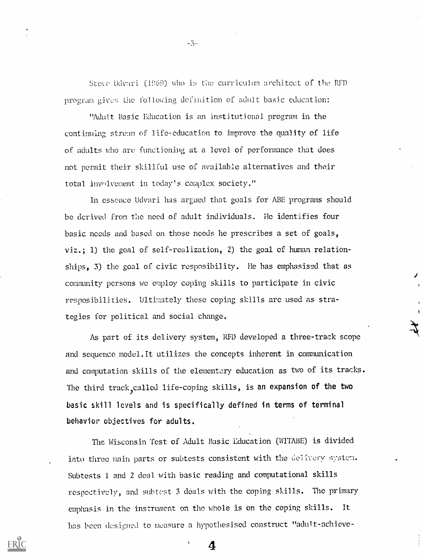Steve Udvari. (1969) who is the curriculum architect of the RFD program gives the following definition of adult basic education:

"Adult Basic Education is an institutional program in the continuing stream of life-education to improve the quality of life of adults who are functioning at a level of performance that does not permit their skillful use of available alternatives and their total involvement in today's complex society."

In essence Udvari has argued that goals for ABE programs should be derived from the need of adult individuals. He identifies four basic needs and based on those needs he prescribes a set of goals, viz.; 1) the goal of self-realization, 2) the goal cf human relationships, 3) the goal of civic resposibility. He has emphasised that as community persons we employ coping skills to participate in civic resposibilities. Ultimately these coping skills arc used as strategies for political and social change.

As part of its delivery system, RFD developed a three-track scope and sequence model.It utilizes the concepts inherent in communication and computation skills of the elementary education as two of its tracks. The third track, called life-coping skills, is an expansion of the two basic skill levels and is specifically defined in terms of terminal behavior objectives for adults.

The Wisconsin Test of Adult Basic Education (WITABE) is divided into three main parts or subtests consistent with the delivery system. Subtests 1 and 2 deal with basic reading and computational skills respectively, and subtest 3 déals with the coping skills. The primary emphasis in the instrument on the whole is on the coping skills. It has been designed to measure a hypothesised construct "adult-achieve-

4

-3.-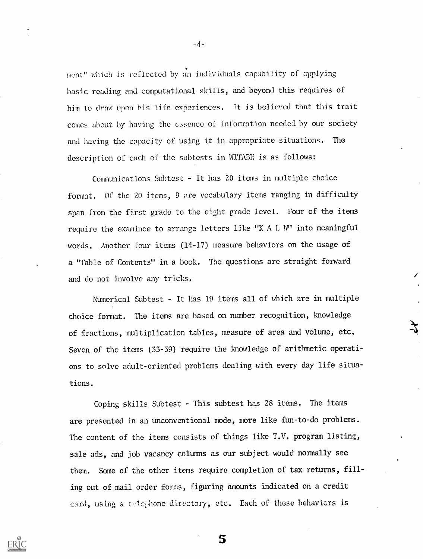laent" which is reflected by an individuals capability of applying basic reading and computational skills, and beyond this requires of him to draw upon bis life experiences. It is believed that this trait comes about by having the essence of information needed by our society and having the capacity of using it in appropriate situations. The description of each of the subtests in WITABE is as follows:

Communications Subtest - It has 20 items in multiple choice format. Of the 20 items, 9 are vocabulary items ranging in difficulty span from the first grade to the eight grade level. Four of the items require the examinee to arrange letters like "K A L W" into meaningful words. Another four items (14-17) measure behaviors on the usage of a "Table of Contents" in a book. The questions are straight forward and do not involve any tricks.

Numerical Subtest - It has 19 items all of vhich are in multiple choice format. The items are based on number recognition, knowledge of fractions, multiplication tables, measure of area and volume, etc. Seven of the items (33-39) require the knowledge of arithmetic operations to solve adult-oriented problems dealing with every day life situations.

Coping skills Subtest - This subtest has 28 items. The items are presented in an unconventional mode, more like fun-to-do problems. The content of the items consists of things like T.V. program listing, sale ads, and job vacancy columns as our subject would normally see them. Some of the other items require completion of tax returns, filling out of mail order forms, figuring amounts indicated on a credit card, using a telephone directory, etc. Each of these behaviors is

5

 $-4-$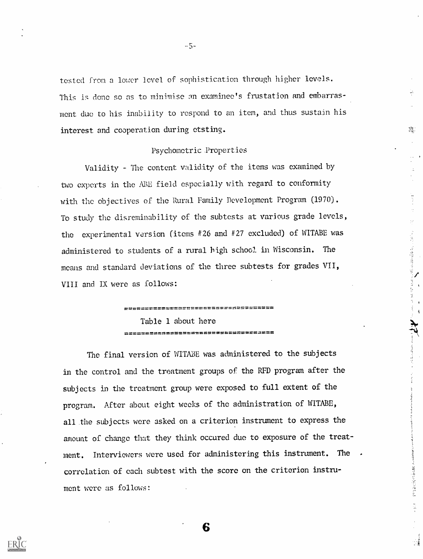tested from a lower level of sophistication through higher levels. This is done so as to minimise an examinee's frustation and embarrasment due to his inability to respond to an item, and thus sustain his interest and cooperation during etsting.

卒.

 $\label{eq:2.1} \begin{array}{ll} \mathcal{F}_{\mathcal{A}}(\mathcal{G}_{\mathcal{A}}) & \mathcal{F}_{\mathcal{A}}(\mathcal{G}_{\mathcal{A}}) & \mathcal{F}_{\mathcal{A}}(\mathcal{G}_{\mathcal{A}}) \\ \mathcal{F}_{\mathcal{A}}(\mathcal{G}_{\mathcal{A}}) & \mathcal{F}_{\mathcal{A}}(\mathcal{G}_{\mathcal{A}}) & \mathcal{F}_{\mathcal{A}}(\mathcal{G}_{\mathcal{A}}) \\ \end{array}$ 

医血管胃炎 医盐酸盐医盐酸盐酸盐医盐

 $\frac{1}{2}$ 

#### Psychometric Properties

Validity - The content validity of the items was examined by two experts in the ABE field especially with regard to conformity with fhe objectives of the Rural Family Development Program (1970). To study the disreminability of the subtests at various grade levels, the experimental version (items #26 and #27 excluded) of W1TABE was administered to students of a rural high school in Wisconsin. The means and standard deviations of the three subtests for grades VII, VIII and IX were as follows:

> Table 1 about here

The final version of WITABE was administered to the subjects in the control and the treatment groups of the RFD program after the subjects in the treatment group were exposed to full extent of the program. After about eight weeks of the administration of WITABE, all the subjects were asked on a criterion instrument to express the amount of change that they think occured due to exposure of the treatment. Interviewers were used for administering this instrument. The correlation of each subtest with the score on the criterion instrument were as follows:

6

 $-5-$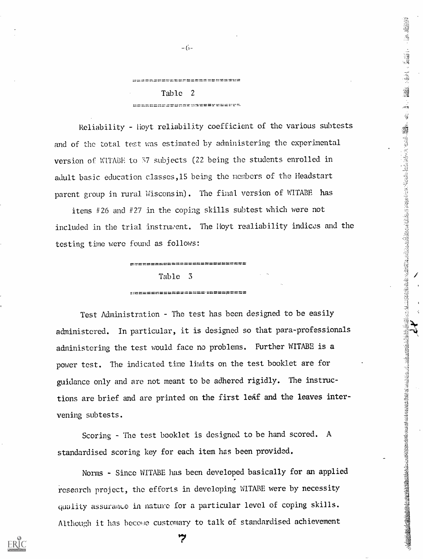## secondrections! Table 2 <u> nessannas evenensus symbence</u>

Reliability - Hoyt reliability coefficient of the various subtests and of the total test was estimated by administering the experimental version of WITABE to 37 subjects (22 being the students enrolled in adult basic education classes,l5 being the menbcrs of the Headstart parent group in rural Wisconsin). The final version of WITABE has

items #26 and #27 in the coping skills subtest which were not included in the trial instruwent. The Hoyt realiability indices and the testing time were found as follows:

elf:t

#### ------------------------------

#### Table 3

Test Administration - The test has been designed to be easily administered. In particular, it is designed so that para-professionals administering the test would face no problems. Further WITABE is a power test. The indicated time limits on the test booklet are for guidance only and are not meant to be adhered rigidly. The instructions are brief and are printed on the first leaf and the leaves intervening subtests.

Scoring - The test booklet is designed to be hand scored. A standardised scoring key for each item has been provided.

Norms - Since WITABE has been developed basically for an applied research project, the efforts in developing WITABE uere by necessity quality assurance in nature for a particular level of coping skills. Although it has become customary to talk of standardised achievement

**ש** 

 $-(5-$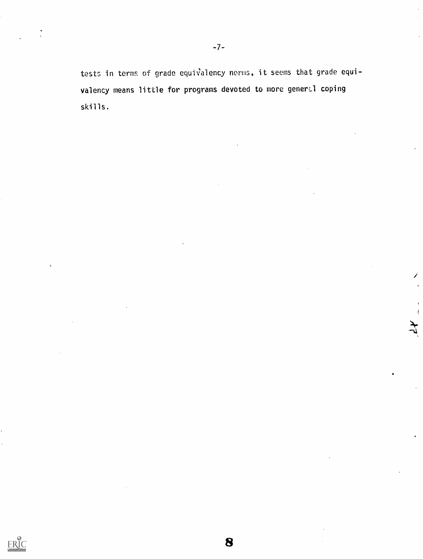tests in terms of grade equivalency norms, it seems that grade equivalency means little for programs devoted to more general coping skills.

Í

 $\frac{1}{4}$ 

8

**ERIC**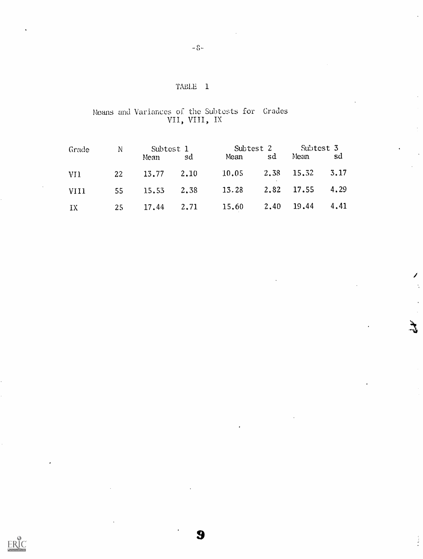## TABLE 1

### Means and Variances of the Subtosts for Grades VII, VIII, IX

| Grade | N Subtest 1           |     | Subtest 2 Subtest 3                 |  |  |     |  |
|-------|-----------------------|-----|-------------------------------------|--|--|-----|--|
|       | Mean                  | _sd | Mean sd Mean                        |  |  | -sd |  |
| VI1   | $22 \t 13.77 \t 2.10$ |     | $10.05$ $2.38$ $15.32$ $3.17$       |  |  |     |  |
| VIII  |                       |     | 55 15.53 2.38 13.28 2.82 17.55 4.29 |  |  |     |  |
| IX    |                       |     | 25 17.44 2.71 15.60 2.40 19.44 4.41 |  |  |     |  |

9

ERIC

Î  $\frac{1}{2}$ 

 $\frac{1}{2}$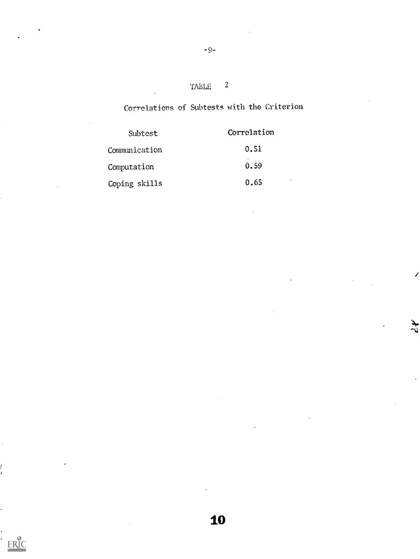# TABLE 2

# Correlations of Subtests with the Criterion

Í

ىلىد<br>ئار

| Subtest       | Correlation       |  |
|---------------|-------------------|--|
| Communication | 0.51              |  |
| Computation   | 0.59              |  |
| Coping skills | $\bullet$<br>0.65 |  |

 $-9-$ 

ERIC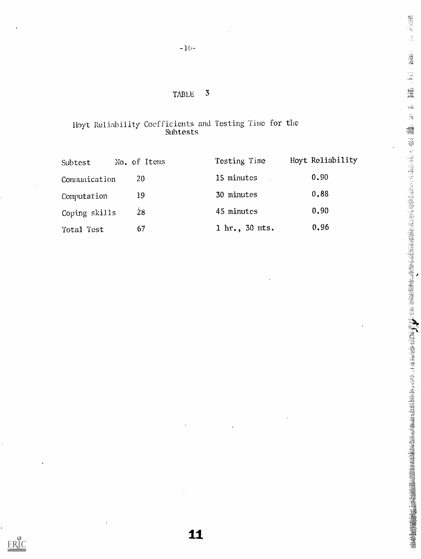## $-1(i-$

## TABLE 3

### Hoyt Reliability Coefficients and Testing Time for the Subtests

| Subtest       | No. of Items | Testing Time              | Hoyt Reliability |  |
|---------------|--------------|---------------------------|------------------|--|
| Communication | 20           | 15 minutes                | 0.90             |  |
| Computation   | 19           | 30 minutes                | 0,88             |  |
| Coping skills | 28           | 45 minutes                | 0.90             |  |
| Total Test    | 67           | $1 \text{ hr.}$ , 30 mts. | 0.96             |  |